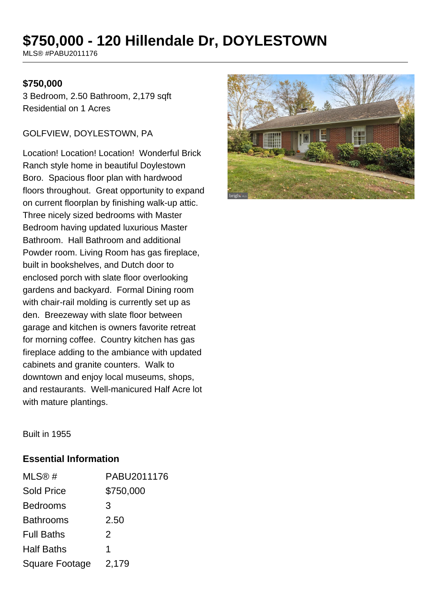# **\$750,000 - 120 Hillendale Dr, DOYLESTOWN**

MLS® #PABU2011176

#### **\$750,000**

3 Bedroom, 2.50 Bathroom, 2,179 sqft Residential on 1 Acres

#### GOLFVIEW, DOYLESTOWN, PA

Location! Location! Location! Wonderful Brick Ranch style home in beautiful Doylestown Boro. Spacious floor plan with hardwood floors throughout. Great opportunity to expand on current floorplan by finishing walk-up attic. Three nicely sized bedrooms with Master Bedroom having updated luxurious Master Bathroom. Hall Bathroom and additional Powder room. Living Room has gas fireplace, built in bookshelves, and Dutch door to enclosed porch with slate floor overlooking gardens and backyard. Formal Dining room with chair-rail molding is currently set up as den. Breezeway with slate floor between garage and kitchen is owners favorite retreat for morning coffee. Country kitchen has gas fireplace adding to the ambiance with updated cabinets and granite counters. Walk to downtown and enjoy local museums, shops, and restaurants. Well-manicured Half Acre lot with mature plantings.



Built in 1955

#### **Essential Information**

| MLS@#             | PABU2011176 |
|-------------------|-------------|
| <b>Sold Price</b> | \$750,000   |
| <b>Bedrooms</b>   | 3           |
| <b>Bathrooms</b>  | 2.50        |
| <b>Full Baths</b> | 2           |
| <b>Half Baths</b> | 1           |
| Square Footage    | 2,179       |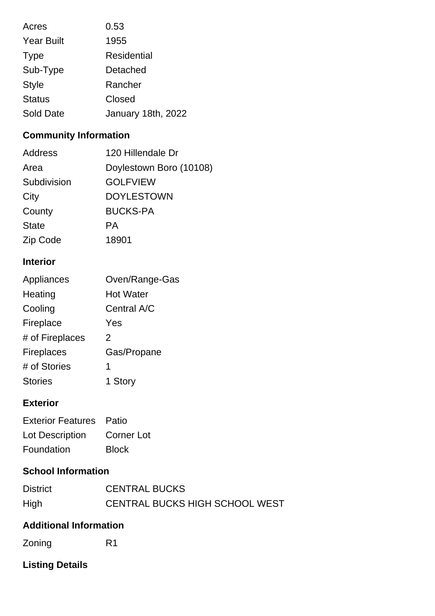| Acres             | 0.53               |
|-------------------|--------------------|
| <b>Year Built</b> | 1955               |
| <b>Type</b>       | Residential        |
| Sub-Type          | Detached           |
| <b>Style</b>      | Rancher            |
| <b>Status</b>     | Closed             |
| Sold Date         | January 18th, 2022 |

# **Community Information**

| 120 Hillendale Dr       |
|-------------------------|
| Doylestown Boro (10108) |
| <b>GOLFVIEW</b>         |
| <b>DOYLESTOWN</b>       |
| <b>BUCKS-PA</b>         |
| PА                      |
| 18901                   |
|                         |

### **Interior**

| Oven/Range-Gas   |
|------------------|
| <b>Hot Water</b> |
| Central A/C      |
| Yes              |
| 2                |
| Gas/Propane      |
| 1                |
| 1 Story          |
|                  |

## **Exterior**

| <b>Exterior Features</b> Patio |              |
|--------------------------------|--------------|
| Lot Description                | Corner Lot   |
| Foundation                     | <b>Block</b> |

### **School Information**

| <b>District</b> | <b>CENTRAL BUCKS</b>           |
|-----------------|--------------------------------|
| High            | CENTRAL BUCKS HIGH SCHOOL WEST |

### **Additional Information**

Zoning R1

## **Listing Details**